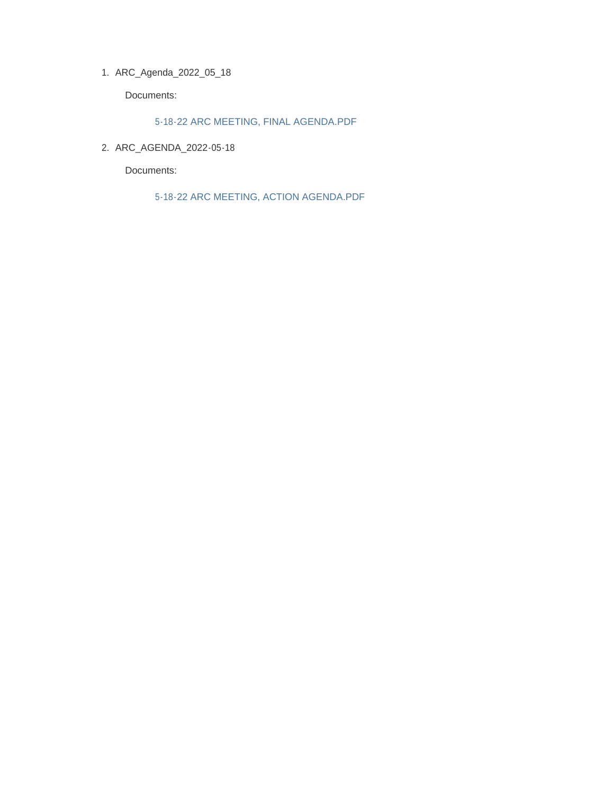ARC\_Agenda\_2022\_05\_18 1.

Documents:

5-18-22 ARC MEETING, FINAL AGENDA.PDF

ARC\_AGENDA\_2022-05-18 2.

Documents:

5-18-22 ARC MEETING, ACTION AGENDA.PDF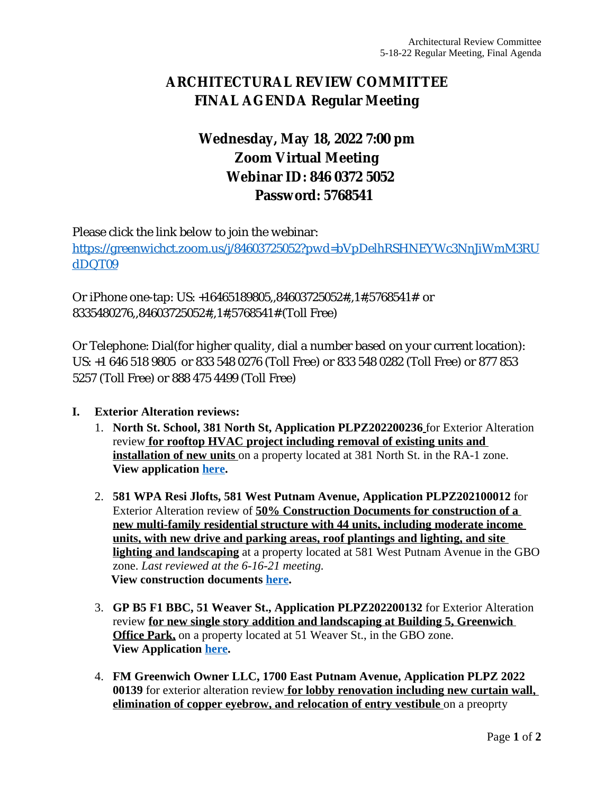# **ARCHITECTURAL REVIEW COMMITTEE FINAL AGENDA Regular Meeting**

# **Wednesday, May 18, 2022 7:00 pm Zoom Virtual Meeting Webinar ID: 846 0372 5052 Password: 5768541**

Please click the link below to join the webinar: [https://greenwichct.zoom.us/j/84603725052?pwd=bVpDelhRSHNEYWc3NnJiWmM3RU](https://greenwichct.zoom.us/j/84603725052?pwd=bVpDelhRSHNEYWc3NnJiWmM3RUdDQT09) dDQT09

Or iPhone one-tap: US: +16465189805,,84603725052#,,1#,5768541# or 8335480276,,84603725052#,,1#,5768541# (Toll Free)

Or Telephone: Dial(for higher quality, dial a number based on your current location): US: +1 646 518 9805 or 833 548 0276 (Toll Free) or 833 548 0282 (Toll Free) or 877 853 5257 (Toll Free) or 888 475 4499 (Toll Free)

- **I. Exterior Alteration reviews:**
	- 1. **North St. School, 381 North St, Application PLPZ202200236** for Exterior Alteration review **for rooftop HVAC project including removal of existing units and installation of new units** on a property located at 381 North St. in the RA-1 zone. **View application [here](https://www.greenwichct.gov/DocumentCenter/View/31104/381-North-St-HVAC-PLPZ202200236-).**
	- 2. **581 WPA Resi Jlofts, 581 West Putnam Avenue, Application PLPZ202100012** for Exterior Alteration review of **50% Construction Documents for construction of a new multi-family residential structure with 44 units, including moderate income units, with new drive and parking areas, roof plantings and lighting, and site lighting and landscaping** at a property located at 581 West Putnam Avenue in the GBO zone. *Last reviewed at the 6-16-21 meeting.* **View construction documents [here.](https://www.greenwichct.gov/DocumentCenter/View/31107/581-WPA-CDs-50-PLPZ202100012)**
	- 3. **GP B5 F1 BBC, 51 Weaver St., Application PLPZ202200132** for Exterior Alteration review **for new single story addition and landscaping at Building 5, Greenwich Office Park,** on a property located at 51 Weaver St., in the GBO zone. **View Application [here](https://www.greenwichct.gov/DocumentCenter/View/31103/51-Weaver-Bldg-5-GOP-PLPZ202200132).**
	- 4. **FM Greenwich Owner LLC, 1700 East Putnam Avenue, Application PLPZ 2022 00139** for exterior alteration review **for lobby renovation including new curtain wall, elimination of copper eyebrow, and relocation of entry vestibule** on a preoprty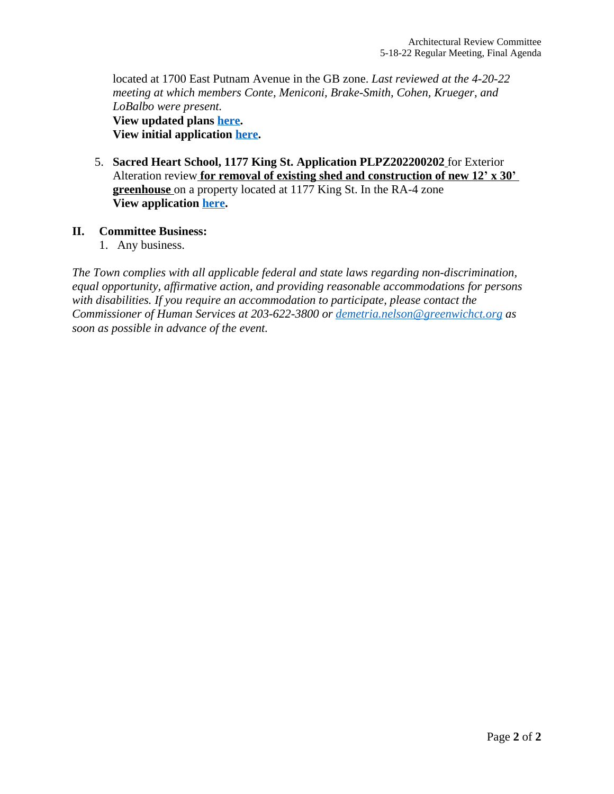located at 1700 East Putnam Avenue in the GB zone. *Last reviewed at the 4-20-22 meeting at which members Conte, Meniconi, Brake-Smith, Cohen, Krueger, and LoBalbo were present.* **View updated plans [here.](https://www.greenwichct.gov/DocumentCenter/View/31106/1700-E-Putnam--updated-plans--PLPZ2022000139) View initial application [here](https://www.greenwichct.gov/DocumentCenter/View/30578/1700-EPA-lobby-reno-application).**

5. **Sacred Heart School, 1177 King St. Application PLPZ202200202** for Exterior Alteration review **for removal of existing shed and construction of new 12' x 30' greenhouse** on a property located at 1177 King St. In the RA-4 zone **View application [here](https://www.greenwichct.gov/DocumentCenter/View/31105/1177-King-St-SH-school-PLPZ202200202).**

### **II. Committee Business:**

1. Any business.

*The Town complies with all applicable federal and state laws regarding non-discrimination, equal opportunity, affirmative action, and providing reasonable accommodations for persons with disabilities. If you require an accommodation to participate, please contact the Commissioner of Human Services at 203-622-3800 or [demetria.nelson@greenwichct.org](mailto:demetria.nelson@greenwichct.org) as soon as possible in advance of the event.*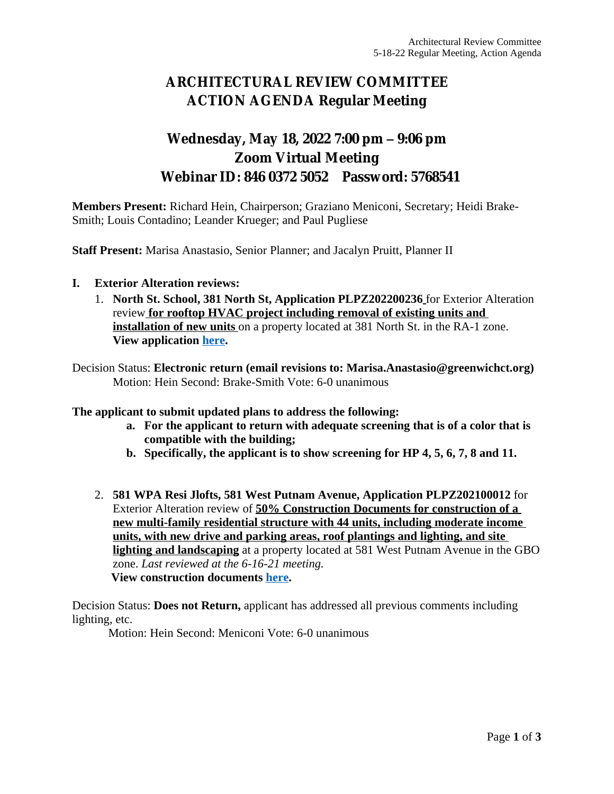# **ARCHITECTURAL REVIEW COMMITTEE ACTION AGENDA Regular Meeting**

## **Wednesday, May 18, 2022 7:00 pm – 9:06 pm Zoom Virtual Meeting Webinar ID: 846 0372 5052 Password: 5768541**

**Members Present:** Richard Hein, Chairperson; Graziano Meniconi, Secretary; Heidi Brake-Smith; Louis Contadino; Leander Krueger; and Paul Pugliese

**Staff Present:** Marisa Anastasio, Senior Planner; and Jacalyn Pruitt, Planner II

- **I. Exterior Alteration reviews:**
	- 1. **North St. School, 381 North St, Application PLPZ202200236** for Exterior Alteration review **for rooftop HVAC project including removal of existing units and installation of new units** on a property located at 381 North St. in the RA-1 zone. **View application [here](https://www.greenwichct.gov/DocumentCenter/View/31104/381-North-St-HVAC-PLPZ202200236-).**

Decision Status: **Electronic return (email revisions to: Marisa.Anastasio@greenwichct.org)** Motion: Hein Second: Brake-Smith Vote: 6-0 unanimous

**The applicant to submit updated plans to address the following:**

- **a. For the applicant to return with adequate screening that is of a color that is compatible with the building;**
- **b. Specifically, the applicant is to show screening for HP 4, 5, 6, 7, 8 and 11.**
- 2. **581 WPA Resi Jlofts, 581 West Putnam Avenue, Application PLPZ202100012** for Exterior Alteration review of **50% Construction Documents for construction of a new multi-family residential structure with 44 units, including moderate income units, with new drive and parking areas, roof plantings and lighting, and site lighting and landscaping** at a property located at 581 West Putnam Avenue in the GBO zone. *Last reviewed at the 6-16-21 meeting.* **View construction documents [here.](https://www.greenwichct.gov/DocumentCenter/View/31107/581-WPA-CDs-50-PLPZ202100012)**

Decision Status: **Does not Return,** applicant has addressed all previous comments including lighting, etc.

Motion: Hein Second: Meniconi Vote: 6-0 unanimous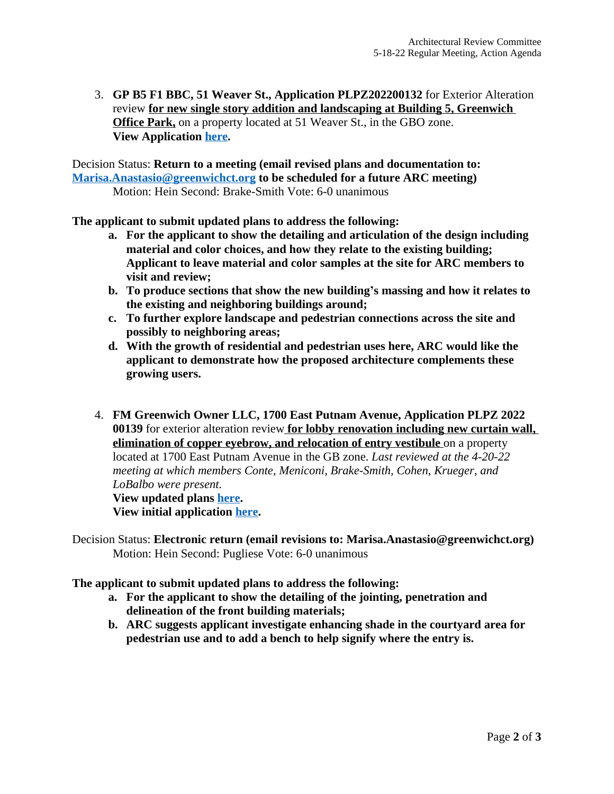3. **GP B5 F1 BBC, 51 Weaver St., Application PLPZ202200132** for Exterior Alteration review **for new single story addition and landscaping at Building 5, Greenwich Office Park,** on a property located at 51 Weaver St., in the GBO zone. **View Application [here](https://www.greenwichct.gov/DocumentCenter/View/31103/51-Weaver-Bldg-5-GOP-PLPZ202200132).**

Decision Status: **Return to a meeting (email revised plans and documentation to: [Marisa.Anastasio@greenwichct.org](mailto:Marisa.Anastasio@greenwichct.org) to be scheduled for a future ARC meeting)** Motion: Hein Second: Brake-Smith Vote: 6-0 unanimous

**The applicant to submit updated plans to address the following:**

- **a. For the applicant to show the detailing and articulation of the design including material and color choices, and how they relate to the existing building; Applicant to leave material and color samples at the site for ARC members to visit and review;**
- **b. To produce sections that show the new building's massing and how it relates to the existing and neighboring buildings around;**
- **c. To further explore landscape and pedestrian connections across the site and possibly to neighboring areas;**
- **d. With the growth of residential and pedestrian uses here, ARC would like the applicant to demonstrate how the proposed architecture complements these growing users.**
- 4. **FM Greenwich Owner LLC, 1700 East Putnam Avenue, Application PLPZ 2022 00139** for exterior alteration review **for lobby renovation including new curtain wall, elimination of copper eyebrow, and relocation of entry vestibule** on a property located at 1700 East Putnam Avenue in the GB zone. *Last reviewed at the 4-20-22 meeting at which members Conte, Meniconi, Brake-Smith, Cohen, Krueger, and LoBalbo were present.*  **View updated plans [here.](https://www.greenwichct.gov/DocumentCenter/View/31106/1700-E-Putnam--updated-plans--PLPZ2022000139)**

**View initial application [here](https://www.greenwichct.gov/DocumentCenter/View/30578/1700-EPA-lobby-reno-application).**

Decision Status: **Electronic return (email revisions to: Marisa.Anastasio@greenwichct.org)** Motion: Hein Second: Pugliese Vote: 6-0 unanimous

#### **The applicant to submit updated plans to address the following:**

- **a. For the applicant to show the detailing of the jointing, penetration and delineation of the front building materials;**
- **b. ARC suggests applicant investigate enhancing shade in the courtyard area for pedestrian use and to add a bench to help signify where the entry is.**